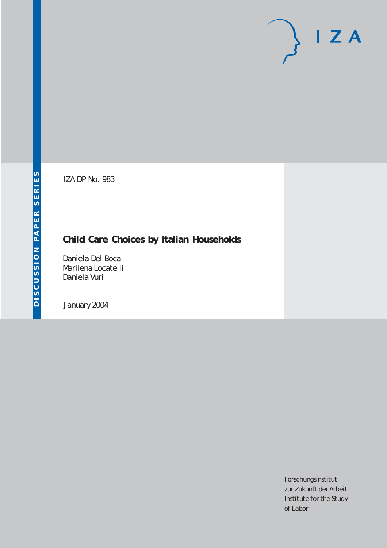# $I Z A$

IZA DP No. 983

# **Child Care Choices by Italian Households**

Daniela Del Boca Marilena Locatelli Daniela Vuri

January 2004

Forschungsinstitut zur Zukunft der Arbeit Institute for the Study of Labor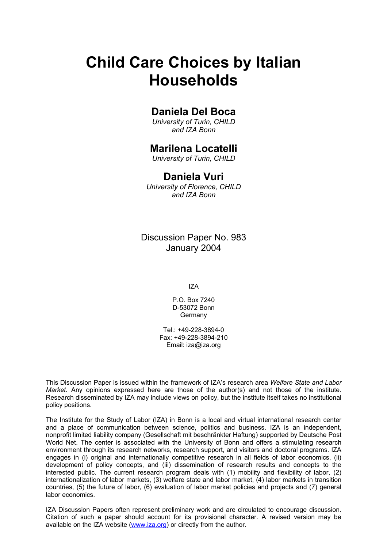# **Child Care Choices by Italian Households**

## **Daniela Del Boca**

*University of Turin, CHILD and IZA Bonn* 

### **Marilena Locatelli**

*University of Turin, CHILD* 

#### **Daniela Vuri**

*University of Florence, CHILD and IZA Bonn* 

Discussion Paper No. 983 January 2004

IZA

P.O. Box 7240 D-53072 Bonn Germany

Tel.: +49-228-3894-0 Fax: +49-228-3894-210 Email: [iza@iza.org](mailto:iza@iza.org)

This Discussion Paper is issued within the framework of IZA's research area *Welfare State and Labor Market.* Any opinions expressed here are those of the author(s) and not those of the institute. Research disseminated by IZA may include views on policy, but the institute itself takes no institutional policy positions.

The Institute for the Study of Labor (IZA) in Bonn is a local and virtual international research center and a place of communication between science, politics and business. IZA is an independent, nonprofit limited liability company (Gesellschaft mit beschränkter Haftung) supported by Deutsche Post World Net. The center is associated with the University of Bonn and offers a stimulating research environment through its research networks, research support, and visitors and doctoral programs. IZA engages in (i) original and internationally competitive research in all fields of labor economics, (ii) development of policy concepts, and (iii) dissemination of research results and concepts to the interested public. The current research program deals with (1) mobility and flexibility of labor, (2) internationalization of labor markets, (3) welfare state and labor market, (4) labor markets in transition countries, (5) the future of labor, (6) evaluation of labor market policies and projects and (7) general labor economics.

IZA Discussion Papers often represent preliminary work and are circulated to encourage discussion. Citation of such a paper should account for its provisional character. A revised version may be available on the IZA website ([www.iza.org](http://www.iza.org/)) or directly from the author.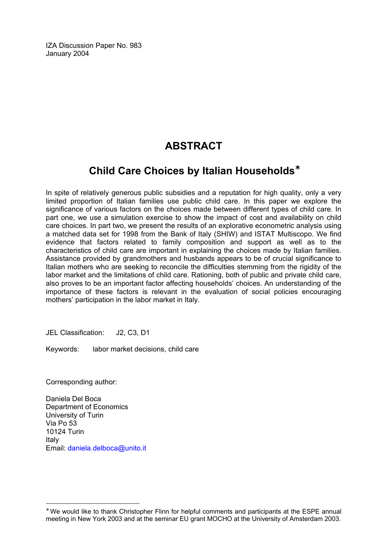IZA Discussion Paper No. 983 January 2004

# **ABSTRACT**

## **Child Care Choices by Italian Households**[∗](#page-2-0)

In spite of relatively generous public subsidies and a reputation for high quality, only a very limited proportion of Italian families use public child care. In this paper we explore the significance of various factors on the choices made between different types of child care. In part one, we use a simulation exercise to show the impact of cost and availability on child care choices. In part two, we present the results of an explorative econometric analysis using a matched data set for 1998 from the Bank of Italy (SHIW) and ISTAT Multiscopo. We find evidence that factors related to family composition and support as well as to the characteristics of child care are important in explaining the choices made by Italian families. Assistance provided by grandmothers and husbands appears to be of crucial significance to Italian mothers who are seeking to reconcile the difficulties stemming from the rigidity of the labor market and the limitations of child care. Rationing, both of public and private child care, also proves to be an important factor affecting households' choices. An understanding of the importance of these factors is relevant in the evaluation of social policies encouraging mothers' participation in the labor market in Italy.

JEL Classification: J2, C3, D1

Keywords: labor market decisions, child care

Corresponding author:

 $\overline{a}$ 

Daniela Del Boca Department of Economics University of Turin Via Po 53 10124 Turin Italy Email: [daniela.delboca@unito.it](mailto:daniela.delboca@unito.it) 

<span id="page-2-0"></span><sup>∗</sup> We would like to thank Christopher Flinn for helpful comments and participants at the ESPE annual meeting in New York 2003 and at the seminar EU grant MOCHO at the University of Amsterdam 2003.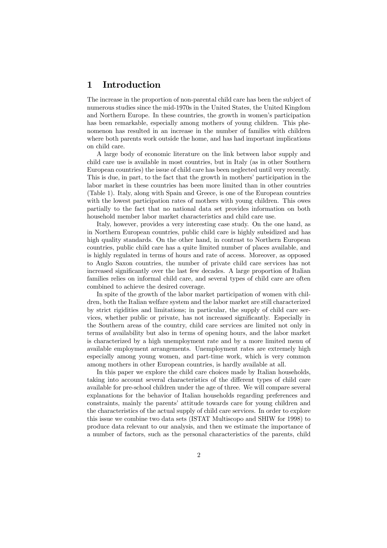#### 1 Introduction

The increase in the proportion of non-parental child care has been the subject of numerous studies since the mid-1970s in the United States, the United Kingdom and Northern Europe. In these countries, the growth in women's participation has been remarkable, especially among mothers of young children. This phenomenon has resulted in an increase in the number of families with children where both parents work outside the home, and has had important implications on child care.

A large body of economic literature on the link between labor supply and child care use is available in most countries, but in Italy (as in other Southern European countries) the issue of child care has been neglected until very recently. This is due, in part, to the fact that the growth in mothers' participation in the labor market in these countries has been more limited than in other countries (Table 1). Italy, along with Spain and Greece, is one of the European countries with the lowest participation rates of mothers with young children. This owes partially to the fact that no national data set provides information on both household member labor market characteristics and child care use.

Italy, however, provides a very interesting case study. On the one hand, as in Northern European countries, public child care is highly subsidized and has high quality standards. On the other hand, in contrast to Northern European countries, public child care has a quite limited number of places available, and is highly regulated in terms of hours and rate of access. Moreover, as opposed to Anglo Saxon countries, the number of private child care services has not increased significantly over the last few decades. A large proportion of Italian families relies on informal child care, and several types of child care are often combined to achieve the desired coverage.

In spite of the growth of the labor market participation of women with children, both the Italian welfare system and the labor market are still characterized by strict rigidities and limitations; in particular, the supply of child care services, whether public or private, has not increased significantly. Especially in the Southern areas of the country, child care services are limited not only in terms of availability but also in terms of opening hours, and the labor market is characterized by a high unemployment rate and by a more limited menu of available employment arrangements. Unemployment rates are extremely high especially among young women, and part-time work, which is very common among mothers in other European countries, is hardly available at all.

In this paper we explore the child care choices made by Italian households, taking into account several characteristics of the different types of child care available for pre-school children under the age of three. We will compare several explanations for the behavior of Italian households regarding preferences and constraints, mainly the parents' attitude towards care for young children and the characteristics of the actual supply of child care services. In order to explore this issue we combine two data sets (ISTAT Multiscopo and SHIW for 1998) to produce data relevant to our analysis, and then we estimate the importance of a number of factors, such as the personal characteristics of the parents, child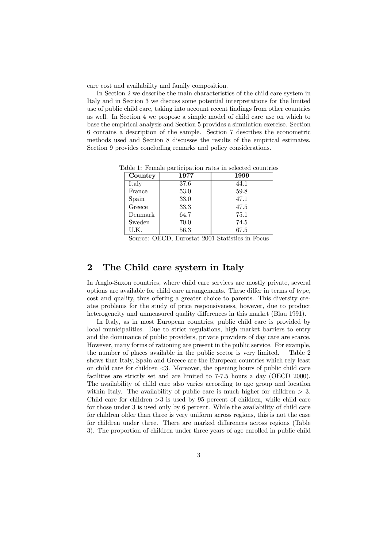care cost and availability and family composition.

In Section 2 we describe the main characteristics of the child care system in Italy and in Section 3 we discuss some potential interpretations for the limited use of public child care, taking into account recent findings from other countries as well. In Section 4 we propose a simple model of child care use on which to base the empirical analysis and Section 5 provides a simulation exercise. Section 6 contains a description of the sample. Section 7 describes the econometric methods used and Section 8 discusses the results of the empirical estimates. Section 9 provides concluding remarks and policy considerations.

| Country | 1977 | 1999 |
|---------|------|------|
| Italy   | 37.6 | 44.1 |
| France  | 53.0 | 59.8 |
| Spain   | 33.0 | 47.1 |
| Greece  | 33.3 | 47.5 |
| Denmark | 64.7 | 75.1 |
| Sweden  | 70.0 | 74.5 |
| U.K.    | 56.3 | 67.5 |

Table 1: Female participation rates in selected countries

Source: OECD, Eurostat 2001 Statistics in Focus

#### 2 The Child care system in Italy

In Anglo-Saxon countries, where child care services are mostly private, several options are available for child care arrangements. These differ in terms of type, cost and quality, thus offering a greater choice to parents. This diversity creates problems for the study of price responsiveness, however, due to product heterogeneity and unmeasured quality differences in this market (Blau 1991).

In Italy, as in most European countries, public child care is provided by local municipalities. Due to strict regulations, high market barriers to entry and the dominance of public providers, private providers of day care are scarce. However, many forms of rationing are present in the public service. For example, the number of places available in the public sector is very limited. Table 2 shows that Italy, Spain and Greece are the European countries which rely least on child care for children <3. Moreover, the opening hours of public child care facilities are strictly set and are limited to 7-7.5 hours a day (OECD 2000). The availability of child care also varies according to age group and location within Italy. The availability of public care is much higher for children  $> 3$ . Child care for children  $>3$  is used by 95 percent of children, while child care for those under 3 is used only by 6 percent. While the availability of child care for children older than three is very uniform across regions, this is not the case for children under three. There are marked differences across regions (Table 3). The proportion of children under three years of age enrolled in public child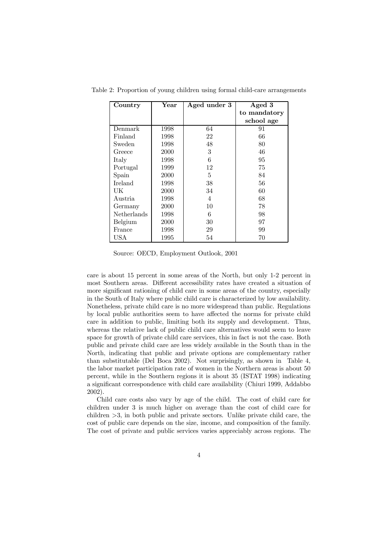| Country        | $\operatorname{Year}$ | Aged under 3 | Aged 3       |
|----------------|-----------------------|--------------|--------------|
|                |                       |              | to mandatory |
|                |                       |              | school age   |
| Denmark        | 1998                  | 64           | 91           |
| Finland        | 1998                  | 22           | 66           |
| Sweden         | 1998                  | 48           | 80           |
| Greece         | 2000                  | 3            | 46           |
| Italy          | 1998                  | 6            | 95           |
| Portugal       | 1999                  | 12           | 75           |
| Spain          | 2000                  | 5            | 84           |
| <b>Ireland</b> | 1998                  | 38           | 56           |
| UK             | 2000                  | 34           | 60           |
| Austria        | 1998                  | 4            | 68           |
| Germany        | 2000                  | 10           | 78           |
| Netherlands    | 1998                  | 6            | 98           |
| Belgium        | 2000                  | 30           | 97           |
| France         | 1998                  | 29           | 99           |
| USA            | 1995                  | 54           | 70           |

Table 2: Proportion of young children using formal child-care arrangements

Source: OECD, Employment Outlook, 2001

care is about 15 percent in some areas of the North, but only 1-2 percent in most Southern areas. Different accessibility rates have created a situation of more significant rationing of child care in some areas of the country, especially in the South of Italy where public child care is characterized by low availability. Nonetheless, private child care is no more widespread than public. Regulations by local public authorities seem to have affected the norms for private child care in addition to public, limiting both its supply and development. Thus, whereas the relative lack of public child care alternatives would seem to leave space for growth of private child care services, this in fact is not the case. Both public and private child care are less widely available in the South than in the North, indicating that public and private options are complementary rather than substitutable (Del Boca 2002). Not surprisingly, as shown in Table 4, the labor market participation rate of women in the Northern areas is about 50 percent, while in the Southern regions it is about 35 (ISTAT 1998) indicating a significant correspondence with child care availability (Chiuri 1999, Addabbo 2002).

Child care costs also vary by age of the child. The cost of child care for children under 3 is much higher on average than the cost of child care for children >3, in both public and private sectors. Unlike private child care, the cost of public care depends on the size, income, and composition of the family. The cost of private and public services varies appreciably across regions. The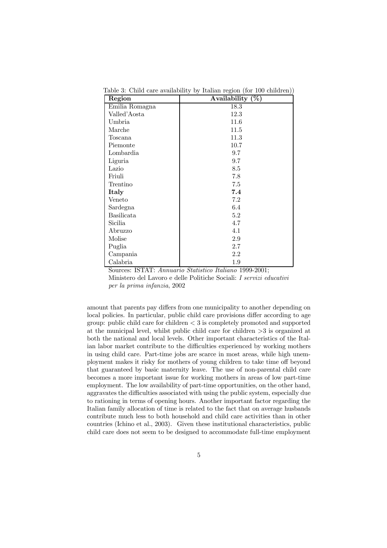| Region            | Availability $(\%)$ |
|-------------------|---------------------|
| Emilia Romagna    | 18.3                |
| Valled'Aosta      | 12.3                |
| Umbria            | 11.6                |
| Marche            | $11.5\,$            |
| Toscana           | 11.3                |
| Piemonte          | 10.7                |
| Lombardia         | 9.7                 |
| Liguria           | 9.7                 |
| Lazio             | 8.5                 |
| Friuli            | 7.8                 |
| Trentino          | 7.5                 |
| Italy             | 7.4                 |
| Veneto            | 7.2                 |
| Sardegna          | 6.4                 |
| <b>Basilicata</b> | 5.2                 |
| Sicilia           | 4.7                 |
| Abruzzo           | 4.1                 |
| Molise            | 2.9                 |
| Puglia            | 2.7                 |
| Campania          | 2.2                 |
| Calabria          | 1.9                 |

Table 3: Child care availability by Italian region (for 100 children))

Sources: ISTAT: Annuario Statistico Italiano 1999-2001; Ministero del Lavoro e delle Politiche Sociali: I servizi educativi per la prima infanzia, 2002

amount that parents pay differs from one municipality to another depending on local policies. In particular, public child care provisions differ according to age group: public child care for children  $\lt 3$  is completely promoted and supported at the municipal level, whilst public child care for children >3 is organized at both the national and local levels. Other important characteristics of the Italian labor market contribute to the difficulties experienced by working mothers in using child care. Part-time jobs are scarce in most areas, while high unemployment makes it risky for mothers of young children to take time off beyond that guaranteed by basic maternity leave. The use of non-parental child care becomes a more important issue for working mothers in areas of low part-time employment. The low availability of part-time opportunities, on the other hand, aggravates the difficulties associated with using the public system, especially due to rationing in terms of opening hours. Another important factor regarding the Italian family allocation of time is related to the fact that on average husbands contribute much less to both household and child care activities than in other countries (Ichino et al., 2003). Given these institutional characteristics, public child care does not seem to be designed to accommodate full-time employment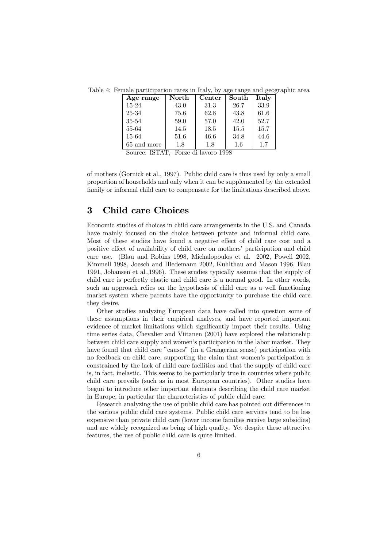Table 4: Female participation rates in Italy, by age range and geographic area

| Age range   | North | Center | South | Italy |
|-------------|-------|--------|-------|-------|
| $15 - 24$   | 43.0  | 31.3   | 26.7  | 33.9  |
| 25-34       | 75.6  | 62.8   | 43.8  | 61.6  |
| 35-54       | 59.0  | 57.0   | 42.0  | 52.7  |
| 55-64       | 14.5  | 18.5   | 15.5  | 15.7  |
| 15-64       | 51.6  | 46.6   | 34.8  | 44.6  |
| 65 and more | 1.8   | 1.8    | 1.6   | 1.7   |

Source: ISTAT, Forze di lavoro 1998

of mothers (Gornick et al., 1997). Public child care is thus used by only a small proportion of households and only when it can be supplemented by the extended family or informal child care to compensate for the limitations described above.

#### 3 Child care Choices

Economic studies of choices in child care arrangements in the U.S. and Canada have mainly focused on the choice between private and informal child care. Most of these studies have found a negative effect of child care cost and a positive effect of availability of child care on mothers' participation and child care use. (Blau and Robins 1998, Michalopoulos et al. 2002, Powell 2002, Kimmell 1998, Joesch and Hiedemann 2002, Kuhlthau and Mason 1996, Blau 1991, Johansen et al.,1996). These studies typically assume that the supply of child care is perfectly elastic and child care is a normal good. In other words, such an approach relies on the hypothesis of child care as a well functioning market system where parents have the opportunity to purchase the child care they desire.

Other studies analyzing European data have called into question some of these assumptions in their empirical analyses, and have reported important evidence of market limitations which significantly impact their results. Using time series data, Chevalier and Viitanen (2001) have explored the relationship between child care supply and women's participation in the labor market. They have found that child care "causes" (in a Grangerian sense) participation with no feedback on child care, supporting the claim that women's participation is constrained by the lack of child care facilities and that the supply of child care is, in fact, inelastic. This seems to be particularly true in countries where public child care prevails (such as in most European countries). Other studies have begun to introduce other important elements describing the child care market in Europe, in particular the characteristics of public child care.

Research analyzing the use of public child care has pointed out differences in the various public child care systems. Public child care services tend to be less expensive than private child care (lower income families receive large subsidies) and are widely recognized as being of high quality. Yet despite these attractive features, the use of public child care is quite limited.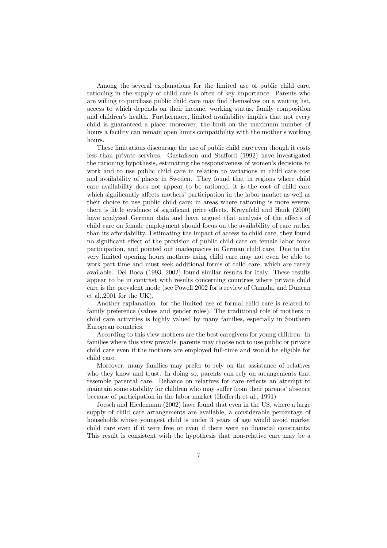Among the several explanations for the limited use of public child care, rationing in the supply of child care is often of key importance. Parents who are willing to purchase public child care may find themselves on a waiting list, access to which depends on their income, working status, family composition and children's health. Furthermore, limited availability implies that not every child is guaranteed a place; moreover, the limit on the maximum number of hours a facility can remain open limits compatibility with the mother's working hours.

These limitations discourage the use of public child care even though it costs less than private services. Gustafsson and Stafford (1992) have investigated the rationing hypothesis, estimating the responsiveness of women's decisions to work and to use public child care in relation to variations in child care cost and availability of places in Sweden. They found that in regions where child care availability does not appear to be rationed, it is the cost of child care which significantly affects mothers' participation in the labor market as well as their choice to use public child care; in areas where rationing is more severe, there is little evidence of significant price effects. Kreynfeld and Hank (2000) have analyzed German data and have argued that analysis of the effects of child care on female employment should focus on the availability of care rather than its affordability. Estimating the impact of access to child care, they found no significant effect of the provision of public child care on female labor force participation, and pointed out inadequacies in German child care. Due to the very limited opening hours mothers using child care may not even be able to work part time and must seek additional forms of child care, which are rarely available. Del Boca (1993, 2002) found similar results for Italy. These results appear to be in contrast with results concerning countries where private child care is the prevalent mode (see Powell 2002 for a review of Canada, and Duncan et al.,2001 for the UK).

Another explanation for the limited use of formal child care is related to family preference (values and gender roles). The traditional role of mothers in child care activities is highly valued by many families, especially in Southern European countries.

According to this view mothers are the best caregivers for young children. In families where this view prevails, parents may choose not to use public or private child care even if the mothers are employed full-time and would be eligible for child care.

Moreover, many families may prefer to rely on the assistance of relatives who they know and trust. In doing so, parents can rely on arrangements that resemble parental care. Reliance on relatives for care reflects an attempt to maintain some stability for children who may suffer from their parents' absence because of participation in the labor market (Hofferth et al., 1991)

Joesch and Hiedemann (2002) have found that even in the US, where a large supply of child care arrangements are available, a considerable percentage of households whose youngest child is under 3 years of age would avoid market child care even if it were free or even if there were no financial constraints. This result is consistent with the hypothesis that non-relative care may be a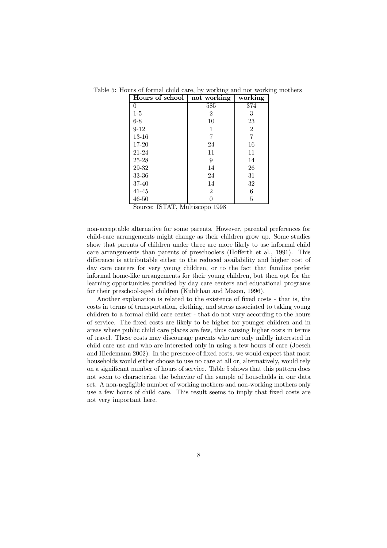| Hours of school | not working    | working |
|-----------------|----------------|---------|
| 0               | 585            | 374     |
| $1-5$           | 2              | 3       |
| $6 - 8$         | 10             | 23      |
| $9 - 12$        | 1              | 2       |
| $13 - 16$       | 7              | 7       |
| 17-20           | 24             | 16      |
| 21-24           | 11             | 11      |
| $25 - 28$       | 9              | 14      |
| 29-32           | 14             | 26      |
| 33-36           | 24             | 31      |
| 37-40           | 14             | 32      |
| $41 - 45$       | $\overline{2}$ | 6       |
| $46 - 50$       |                | 5       |

Table 5: Hours of formal child care, by working and not working mothers

Source: ISTAT, Multiscopo 1998

non-acceptable alternative for some parents. However, parental preferences for child-care arrangements might change as their children grow up. Some studies show that parents of children under three are more likely to use informal child care arrangements than parents of preschoolers (Hofferth et al., 1991). This difference is attributable either to the reduced availability and higher cost of day care centers for very young children, or to the fact that families prefer informal home-like arrangements for their young children, but then opt for the learning opportunities provided by day care centers and educational programs for their preschool-aged children (Kuhlthau and Mason, 1996).

Another explanation is related to the existence of fixed costs - that is, the costs in terms of transportation, clothing, and stress associated to taking young children to a formal child care center - that do not vary according to the hours of service. The fixed costs are likely to be higher for younger children and in areas where public child care places are few, thus causing higher costs in terms of travel. These costs may discourage parents who are only mildly interested in child care use and who are interested only in using a few hours of care (Joesch and Hiedemann 2002). In the presence of fixed costs, we would expect that most households would either choose to use no care at all or, alternatively, would rely on a significant number of hours of service. Table 5 shows that this pattern does not seem to characterize the behavior of the sample of households in our data set. A non-negligible number of working mothers and non-working mothers only use a few hours of child care. This result seems to imply that fixed costs are not very important here.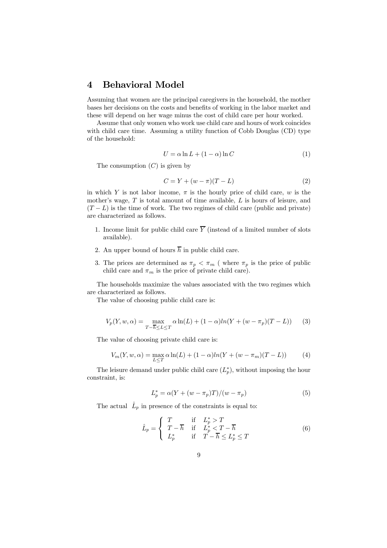#### 4 Behavioral Model

Assuming that women are the principal caregivers in the household, the mother bases her decisions on the costs and benefits of working in the labor market and these will depend on her wage minus the cost of child care per hour worked.

Assume that only women who work use child care and hours of work coincides with child care time. Assuming a utility function of Cobb Douglas (CD) type of the household:

$$
U = \alpha \ln L + (1 - \alpha) \ln C \tag{1}
$$

The consumption  $(C)$  is given by

$$
C = Y + (w - \pi)(T - L)
$$
 (2)

in which Y is not labor income,  $\pi$  is the hourly price of child care, w is the mother's wage, T is total amount of time available, L is hours of leisure, and  $(T - L)$  is the time of work. The two regimes of child care (public and private) are characterized as follows.

- 1. Income limit for public child care  $\overline{Y}$  (instead of a limited number of slots available).
- 2. An upper bound of hours  $\overline{h}$  in public child care.
- 3. The prices are determined as  $\pi_p < \pi_m$  (where  $\pi_p$  is the price of public child care and  $\pi_m$  is the price of private child care).

The households maximize the values associated with the two regimes which are characterized as follows.

The value of choosing public child care is:

$$
V_p(Y, w, \alpha) = \max_{T - \overline{h} \le L \le T} \alpha \ln(L) + (1 - \alpha) \ln(Y + (w - \pi_p)(T - L)) \tag{3}
$$

The value of choosing private child care is:

$$
V_m(Y, w, \alpha) = \max_{L \le T} \alpha \ln(L) + (1 - \alpha) \ln(Y + (w - \pi_m)(T - L))
$$
 (4)

The leisure demand under public child care  $(L_p^*)$ , without imposing the hour constraint, is:

$$
L_p^* = \alpha (Y + (w - \pi_p)T)/(w - \pi_p)
$$
 (5)

The actual  $\hat{L}_p$  in presence of the constraints is equal to:

$$
\hat{L}_p = \begin{cases}\nT & \text{if } L_p^* > T \\
T - \overline{h} & \text{if } L_p^* < T - \overline{h} \\
L_p^* & \text{if } T - \overline{h} \le L_p^* \le T\n\end{cases}
$$
\n(6)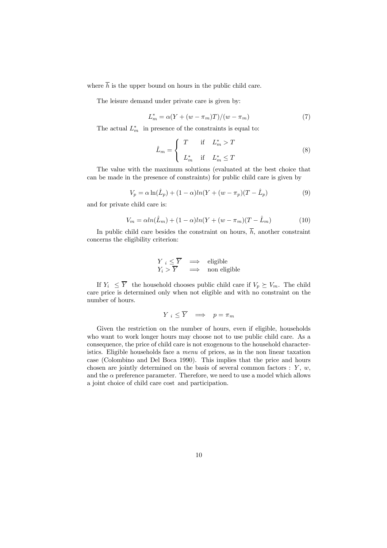where  $\overline{h}$  is the upper bound on hours in the public child care.

The leisure demand under private care is given by:

$$
L_m^* = \alpha (Y + (w - \pi_m)T)/(w - \pi_m)
$$
\n<sup>(7)</sup>

The actual  $L_m^*$  in presence of the constraints is equal to:

$$
\hat{L}_m = \begin{cases}\nT & \text{if } L_m^* > T \\
L_m^* & \text{if } L_m^* \le T\n\end{cases}
$$
\n(8)

The value with the maximum solutions (evaluated at the best choice that can be made in the presence of constraints) for public child care is given by

$$
V_p = \alpha \ln(\hat{L}_p) + (1 - \alpha) \ln(Y + (w - \pi_p)(T - \hat{L}_p)
$$
\n(9)

and for private child care is:

$$
V_m = \alpha ln(\hat{L}_m) + (1 - \alpha)ln(Y + (w - \pi_m)(T - \hat{L}_m))
$$
\n(10)

In public child care besides the constraint on hours,  $\overline{h}$ , another constraint concerns the eligibility criterion:

$$
\begin{array}{ccc}\nY_i \leq \overline{Y} & \implies & \text{eligible} \\
Y_i > \overline{Y} & \implies & \text{non eligible}\n\end{array}
$$

If  $Y_i \leq \overline{Y}$  the household chooses public child care if  $V_p \succeq V_m$ . The child care price is determined only when not eligible and with no constraint on the number of hours.

$$
Y_i \le \overline{Y} \quad \Longrightarrow \quad p = \pi_m
$$

Given the restriction on the number of hours, even if eligible, households who want to work longer hours may choose not to use public child care. As a consequence, the price of child care is not exogenous to the household characteristics. Eligible households face a menu of prices, as in the non linear taxation case (Colombino and Del Boca 1990). This implies that the price and hours chosen are jointly determined on the basis of several common factors :  $Y, w$ , and the  $\alpha$  preference parameter. Therefore, we need to use a model which allows a joint choice of child care cost and participation.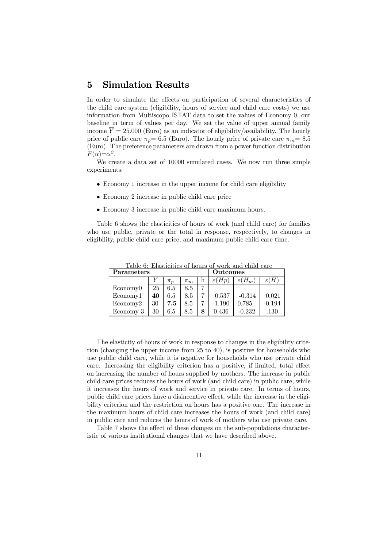#### 5 Simulation Results

In order to simulate the effects on participation of several characteristics of the child care system (eligibility, hours of service and child care costs) we use information from Multiscopo ISTAT data to set the values of Economy 0, our baseline in term of values per day. We set the value of upper annual family income  $\overline{Y} = 25.000$  (Euro) as an indicator of eligibility/availability. The hourly price of public care  $\pi_p = 6.5$  (Euro). The hourly price of private care  $\pi_m = 8.5$ (Euro). The preference parameters are drawn from a power function distribution  $F(\alpha)=\alpha^{\beta}$ .

We create a data set of 10000 simulated cases. We now run three simple experiments:

- Economy 1 increase in the upper income for child care eligibility
- Economy 2 increase in public child care price
- Economy 3 increase in public child care maximum hours.

Table 6 shows the elasticities of hours of work (and child care) for families who use public, private or the total in response, respectively, to changes in eligibility, public child care price, and maximum public child care time.

| <b>Parameters</b> |    |         |         | <b>Outcomes</b> |                                      |                    |          |
|-------------------|----|---------|---------|-----------------|--------------------------------------|--------------------|----------|
|                   |    | $\pi_n$ | $\pi_m$ |                 | $H_{\mathcal{D}}$<br>$\varepsilon$ ( | $\varepsilon(H_m)$ |          |
| Economy0          | 25 | 6.5     | 8.5     |                 |                                      |                    |          |
| Economy1          | 40 | 6.5     | 8.5     |                 | 0.537                                | $-0.314$           | 0.021    |
| Economy2          | 30 | 7.5     | 8.5     |                 | $-1.190$                             | 0.785              | $-0.194$ |

Economy 3 30 6.5 8.5 8 0.436 -0.232 .130

Table 6: Elasticities of hours of work and child care

The elasticity of hours of work in response to changes in the eligibility criterion (changing the upper income from 25 to 40), is positive for households who use public child care, while it is negative for households who use private child care. Increasing the eligibility criterion has a positive, if limited, total effect on increasing the number of hours supplied by mothers. The increase in public child care prices reduces the hours of work (and child care) in public care, while it increases the hours of work and service in private care. In terms of hours, public child care prices have a disincentive effect, while the increase in the eligibility criterion and the restriction on hours has a positive one. The increase in the maximum hours of child care increases the hours of work (and child care) in public care and reduces the hours of work of mothers who use private care.

Table 7 shows the effect of these changes on the sub-populations characteristic of various institutional changes that we have described above.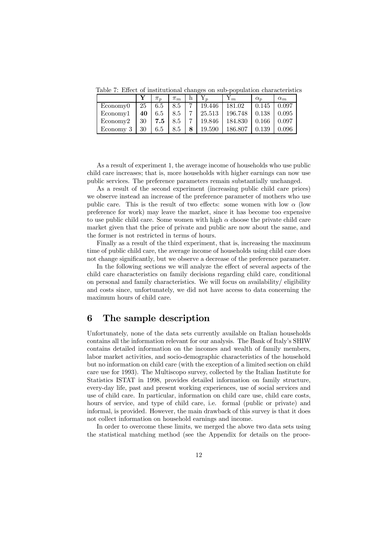Table 7: Effect of institutional changes on sub-population characteristics

|           |    | $\pi_n$ | $\pi_m$ | h. |        | 1 m     | $\alpha_n$ | $\alpha_m$ |
|-----------|----|---------|---------|----|--------|---------|------------|------------|
| Economy0  | 25 | 6.5     | 8.5     | ⇁  | 19.446 | 181.02  | 0.145      | 0.097      |
| Economy1  | 40 | 6.5     | 8.5     |    | 25.513 | 196.748 | 0.138      | 0.095      |
| Economy2  | 30 | 7.5     | 8.5     |    | 19.846 | 184.830 | 0.166      | 0.097      |
| Economy 3 | 30 | 6.5     | 8.5     | 8  | 19.590 | 186.807 | 0.139      | 0.096      |

As a result of experiment 1, the average income of households who use public child care increases; that is, more households with higher earnings can now use public services. The preference parameters remain substantially unchanged.

As a result of the second experiment (increasing public child care prices) we observe instead an increase of the preference parameter of mothers who use public care. This is the result of two effects: some women with low  $\alpha$  (low preference for work) may leave the market, since it has become too expensive to use public child care. Some women with high  $\alpha$  choose the private child care market given that the price of private and public are now about the same, and the former is not restricted in terms of hours.

Finally as a result of the third experiment, that is, increasing the maximum time of public child care, the average income of households using child care does not change significantly, but we observe a decrease of the preference parameter.

In the following sections we will analyze the effect of several aspects of the child care characteristics on family decisions regarding child care, conditional on personal and family characteristics. We will focus on availability/ eligibility and costs since, unfortunately, we did not have access to data concerning the maximum hours of child care.

#### 6 The sample description

Unfortunately, none of the data sets currently available on Italian households contains all the information relevant for our analysis. The Bank of Italy's SHIW contains detailed information on the incomes and wealth of family members, labor market activities, and socio-demographic characteristics of the household but no information on child care (with the exception of a limited section on child care use for 1993). The Multiscopo survey, collected by the Italian Institute for Statistics ISTAT in 1998, provides detailed information on family structure, every-day life, past and present working experiences, use of social services and use of child care. In particular, information on child care use, child care costs, hours of service, and type of child care, i.e. formal (public or private) and informal, is provided. However, the main drawback of this survey is that it does not collect information on household earnings and income.

In order to overcome these limits, we merged the above two data sets using the statistical matching method (see the Appendix for details on the proce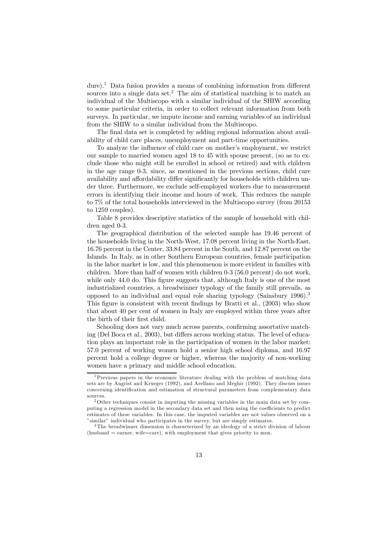dure).<sup>1</sup> Data fusion provides a means of combining information from different sources into a single data set.<sup>2</sup> The aim of statistical matching is to match an individual of the Multiscopo with a similar individual of the SHIW according to some particular criteria, in order to collect relevant information from both surveys. In particular, we impute income and earning variables of an individual from the SHIW to a similar individual from the Multiscopo.

The final data set is completed by adding regional information about availability of child care places, unemployment and part-time opportunities.

To analyze the influence of child care on mother's employment, we restrict our sample to married women aged 18 to 45 with spouse present, (so as to exclude those who might still be enrolled in school or retired) and with children in the age range 0-3, since, as mentioned in the previous sections, child care availability and affordability differ significantly for households with children under three. Furthermore, we exclude self-employed workers due to measurement errors in identifying their income and hours of work. This reduces the sample to 7% of the total households interviewed in the Multiscopo survey (from 20153 to 1259 couples).

Table 8 provides descriptive statistics of the sample of household with children aged 0-3.

The geographical distribution of the selected sample has 19.46 percent of the households living in the North-West, 17.08 percent living in the North-East, 16.76 percent in the Center, 33.84 percent in the South, and 12.87 percent on the Islands. In Italy, as in other Southern European countries, female participation in the labor market is low, and this phenomenon is more evident in families with children. More than half of women with children 0-3 (56.0 percent) do not work, while only 44.0 do. This figure suggests that, although Italy is one of the most industrialized countries, a breadwinner typology of the family still prevails, as opposed to an individual and equal role sharing typology (Sainsbury  $1996$ ).<sup>3</sup> This figure is consistent with recent findings by Bratti et al., (2003) who show that about 40 per cent of women in Italy are employed within three years after the birth of their first child.

Schooling does not vary much across parents, confirming assortative matching (Del Boca et al., 2003), but differs across working status. The level of education plays an important role in the participation of women in the labor market: 57.0 percent of working women hold a senior high school diploma, and 16.97 percent hold a college degree or higher, whereas the majority of non-working women have a primary and middle school education.

<sup>1</sup>Previous papers in the economic literature dealing with the problem of matching data sets are by Angrist and Krueger (1992), and Arellano and Meghir (1992). They discuss issues concerning identification and estimation of structural parameters from complementary data sources.

<sup>&</sup>lt;sup>2</sup>Other techniques consist in imputing the missing variables in the main data set by computing a regression model in the secondary data set and then using the coefficients to predict estimates of these variables. In this case, the imputed variables are not values observed on a "similar" individual who participates in the survey, but are simply estimates.

<sup>3</sup> The breadwinner dimension is characterized by an ideology of a strict division of labour (husband  $=$  earner, wife=care), with employment that gives priority to men.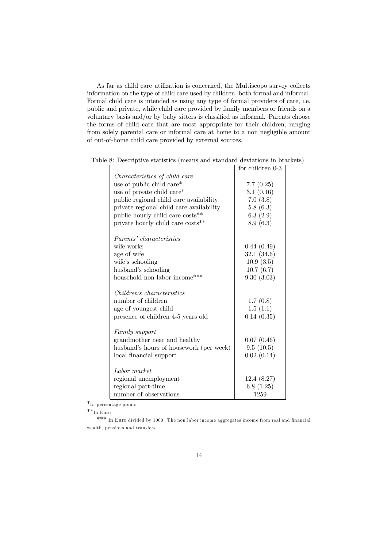As far as child care utilization is concerned, the Multiscopo survey collects information on the type of child care used by children, both formal and informal. Formal child care is intended as using any type of formal providers of care, i.e. public and private, while child care provided by family members or friends on a voluntary basis and/or by baby sitters is classified as informal. Parents choose the forms of child care that are most appropriate for their children, ranging from solely parental care or informal care at home to a non negligible amount of out-of-home child care provided by external sources.

|                                          | for children 0-3  |
|------------------------------------------|-------------------|
| Characteristics of child care            |                   |
| use of public child care*                | 7.7(0.25)         |
| use of private child care*               | 3.1(0.16)         |
| public regional child care availability  | 7.0(3.8)          |
| private regional child care availability | 5.8(6.3)          |
| public hourly child care costs**         | 6.3(2.9)          |
| private hourly child care costs**        | 8.9(6.3)          |
| <i>Parents' characteristics</i>          |                   |
| wife works                               | 0.44(0.49)        |
| age of wife                              | 32.1(34.6)        |
| wife's schooling                         | 10.9(3.5)         |
| husband's schooling                      | 10.7(6.7)         |
| household non labor income***            | 9.30(3.03)        |
| Children's characteristics               |                   |
| number of children                       |                   |
|                                          | 1.7(0.8)          |
| age of youngest child                    | 1.5(1.1)          |
| presence of children 4-5 years old       | 0.14(0.35)        |
| Family support                           |                   |
| grand mother near and healthy            | 0.67(0.46)        |
| husband's hours of housework (per week)  | 9.5(10.5)         |
| local financial support                  | 0.02(0.14)        |
| Labor market                             |                   |
| regional unemployment                    | 12.4(8.27)        |
| regional part-time                       | 6.8 $(1.25)$      |
| number of observations                   | $\overline{1}259$ |

Table 8: Descriptive statistics (means and standard deviations in brackets)

\*In percentage points

 $\rm{**}_{In~Euro}$ 

\*\*\* In Euro divided by 1000. The non labor income aggregates income from real and financial wealth, pensions and transfers.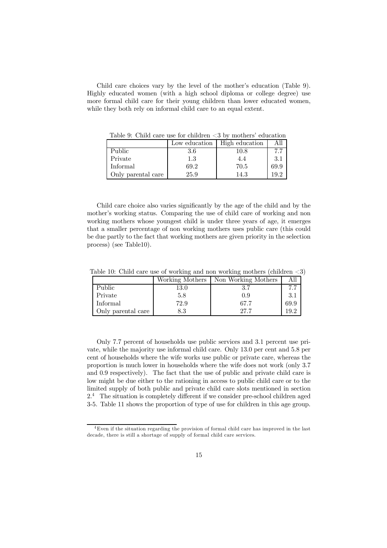Child care choices vary by the level of the mother's education (Table 9). Highly educated women (with a high school diploma or college degree) use more formal child care for their young children than lower educated women, while they both rely on informal child care to an equal extent.

|                    | Low education | High education |      |
|--------------------|---------------|----------------|------|
| Public             | 3.6           | 10.8           |      |
| Private            | $1.3\,$       | 4.4            | 3.1  |
| Informal           | 69.2          | 70.5           | 69.9 |
| Only parental care | 25.9          | 14.3           | 10 Z |

Table 9: Child care use for children  $\langle 3 \rangle$  by mothers' education

Child care choice also varies significantly by the age of the child and by the mother's working status. Comparing the use of child care of working and non working mothers whose youngest child is under three years of age, it emerges that a smaller percentage of non working mothers uses public care (this could be due partly to the fact that working mothers are given priority in the selection process) (see Table10).

Table 10: Child care use of working and non working mothers (children <3)

|                    |          | Working Mothers   Non Working Mothers | All  |
|--------------------|----------|---------------------------------------|------|
| Public             | $13.0\,$ |                                       | 77   |
| Private            | 5.8      | 0.9                                   | 3.1  |
| Informal           | 72.9     | 67.7                                  | 69.9 |
| Only parental care | $8.3\,$  | 27.7                                  | 19 2 |

Only 7.7 percent of households use public services and 3.1 percent use private, while the majority use informal child care. Only 13.0 per cent and 5.8 per cent of households where the wife works use public or private care, whereas the proportion is much lower in households where the wife does not work (only 3.7 and 0.9 respectively). The fact that the use of public and private child care is low might be due either to the rationing in access to public child care or to the limited supply of both public and private child care slots mentioned in section  $2<sup>4</sup>$  The situation is completely different if we consider pre-school children aged 3-5. Table 11 shows the proportion of type of use for children in this age group.

<sup>4</sup>Even if the situation regarding the provision of formal child care has improved in the last decade, there is still a shortage of supply of formal child care services.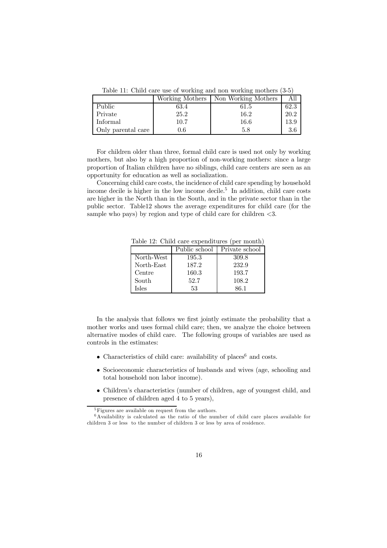Table 11: Child care use of working and non working mothers (3-5)

|                    | Working Mothers | Non Working Mothers | All  |
|--------------------|-----------------|---------------------|------|
| <b>Public</b>      | 63.4            | 61.5                | 62.3 |
| Private            | 25.2            | 16.2                | 20.2 |
| Informal           | 10.7            | 16.6                | 13.9 |
| Only parental care | 0.6             | 5.8                 | 3.6  |

For children older than three, formal child care is used not only by working mothers, but also by a high proportion of non-working mothers: since a large proportion of Italian children have no siblings, child care centers are seen as an opportunity for education as well as socialization.

Concerning child care costs, the incidence of child care spending by household income decile is higher in the low income decile.<sup>5</sup> In addition, child care costs are higher in the North than in the South, and in the private sector than in the public sector. Table12 shows the average expenditures for child care (for the sample who pays) by region and type of child care for children  $\langle 3.5 \rangle$ 

|            | Public school | Private school |
|------------|---------------|----------------|
| North-West | 195.3         | 309.8          |
| North-East | 187.2         | 232.9          |
| Centre     | 160.3         | 193.7          |
| South      | 52.7          | 108.2          |
| Isles      | 53            | 86.1           |
|            |               |                |

Table 12: Child care expenditures (per month)

In the analysis that follows we first jointly estimate the probability that a mother works and uses formal child care; then, we analyze the choice between alternative modes of child care. The following groups of variables are used as controls in the estimates:

- Characteristics of child care: availability of places<sup>6</sup> and costs.
- Socioeconomic characteristics of husbands and wives (age, schooling and total household non labor income).
- Children's characteristics (number of children, age of youngest child, and presence of children aged 4 to 5 years),

 ${}^{5}$ Figures are available on request from the authors.

 $6$ Availability is calculated as the ratio of the number of child care places available for children 3 or less to the number of children 3 or less by area of residence.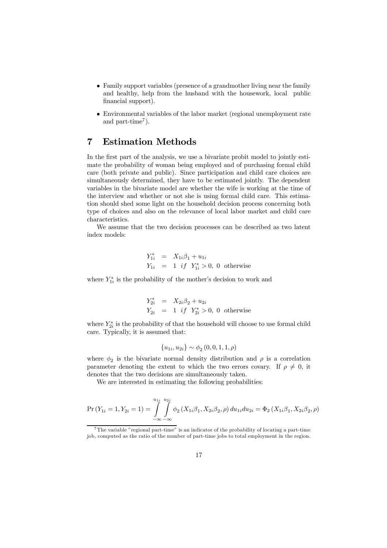- Family support variables (presence of a grandmother living near the family and healthy, help from the husband with the housework, local public financial support).
- Environmental variables of the labor market (regional unemployment rate and part-time<sup>7</sup>).

#### 7 Estimation Methods

In the first part of the analysis, we use a bivariate probit model to jointly estimate the probability of woman being employed and of purchasing formal child care (both private and public). Since participation and child care choices are simultaneously determined, they have to be estimated jointly. The dependent variables in the bivariate model are whether the wife is working at the time of the interview and whether or not she is using formal child care. This estimation should shed some light on the household decision process concerning both type of choices and also on the relevance of local labor market and child care characteristics.

We assume that the two decision processes can be described as two latent index models:

$$
Y_{1i}^{*} = X_{1i}\beta_{1} + u_{1i}
$$
  
\n
$$
Y_{1i} = 1 \text{ if } Y_{1i}^{*} > 0, 0 \text{ otherwise}
$$

where  $Y_{1i}^*$  is the probability of the mother's decision to work and

$$
Y_{2i}^{*} = X_{2i}\beta_2 + u_{2i}
$$
  
\n
$$
Y_{2i} = 1 \text{ if } Y_{2i}^{*} > 0, 0 \text{ otherwise}
$$

where  $Y_{2i}^*$  is the probability of that the household will choose to use formal child care. Typically, it is assumed that:

$$
\{u_{1i}, u_{2i}\} \sim \phi_2(0, 0, 1, 1, \rho)
$$

where  $\phi_2$  is the bivariate normal density distribution and  $\rho$  is a correlation parameter denoting the extent to which the two errors covary. If  $\rho \neq 0$ , it denotes that the two decisions are simultaneously taken.

We are interested in estimating the following probabilities:

$$
\Pr(Y_{1i} = 1, Y_{2i} = 1) = \int_{-\infty}^{u_{1i}} \int_{-\infty}^{u_{2i}} \phi_2(X_{1i}\beta_1, X_{2i}\beta_2, \rho) du_{1i} du_{2i} = \Phi_2(X_{1i}\beta_1, X_{2i}\beta_2, \rho)
$$

<sup>7</sup> The variable "regional part-time" is an indicator of the probability of locating a part-time job, computed as the ratio of the number of part-time jobs to total employment in the region.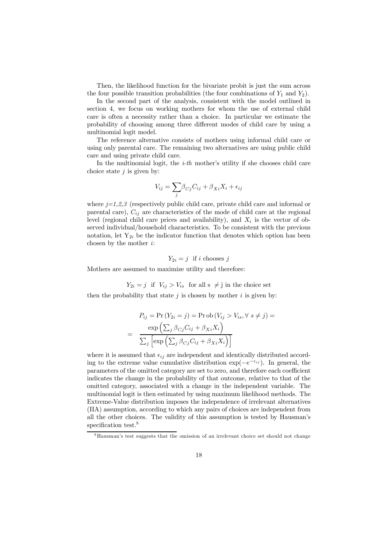Then, the likelihood function for the bivariate probit is just the sum across the four possible transition probabilities (the four combinations of  $Y_1$  and  $Y_2$ ).

In the second part of the analysis, consistent with the model outlined in section 4, we focus on working mothers for whom the use of external child care is often a necessity rather than a choice. In particular we estimate the probability of choosing among three different modes of child care by using a multinomial logit model.

The reference alternative consists of mothers using informal child care or using only parental care. The remaining two alternatives are using public child care and using private child care.

In the multinomial logit, the  $i$ -th mother's utility if she chooses child care choice state  $j$  is given by:

$$
V_{ij} = \sum_{j} \beta_{Cj} C_{ij} + \beta_{Xi} X_i + \epsilon_{ij}
$$

where  $j=1,2,3$  (respectively public child care, private child care and informal or parental care),  $C_{ij}$  are characteristics of the mode of child care at the regional level (regional child care prices and availability), and  $X_i$  is the vector of observed individual/household characteristics. To be consistent with the previous notation, let  $Y_{2i}$  be the indicator function that denotes which option has been chosen by the mother  $i$ :

$$
Y_{2i} = j \text{ if } i \text{ chooses } j
$$

Mothers are assumed to maximize utility and therefore:

 $Y_{2i} = j$  if  $V_{ij} > V_{is}$  for all  $s \neq j$  in the choice set

then the probability that state  $j$  is chosen by mother  $i$  is given by:

$$
P_{ij} = \Pr(Y_{2i} = j) = \Pr \text{ob}(V_{ij} > V_{is}, \forall s \neq j) =
$$
\n
$$
= \frac{\exp\left(\sum_{j} \beta_{Cj} C_{ij} + \beta_{Xi} X_{i}\right)}{\sum_{j} \left[\exp\left(\sum_{j} \beta_{Cj} C_{ij} + \beta_{Xi} X_{i}\right)\right]}
$$

where it is assumed that  $\epsilon_{ij}$  are independent and identically distributed according to the extreme value cumulative distribution  $\exp(-e^{-\epsilon_{ij}})$ . In general, the parameters of the omitted category are set to zero, and therefore each coefficient indicates the change in the probability of that outcome, relative to that of the omitted category, associated with a change in the independent variable. The multinomial logit is then estimated by using maximum likelihood methods. The Extreme-Value distribution imposes the independence of irrelevant alternatives (IIA) assumption, according to which any pairs of choices are independent from all the other choices. The validity of this assumption is tested by Hausman's specification test.<sup>8</sup>

<sup>8</sup>Hausman's test suggests that the omission of an irrelevant choice set should not change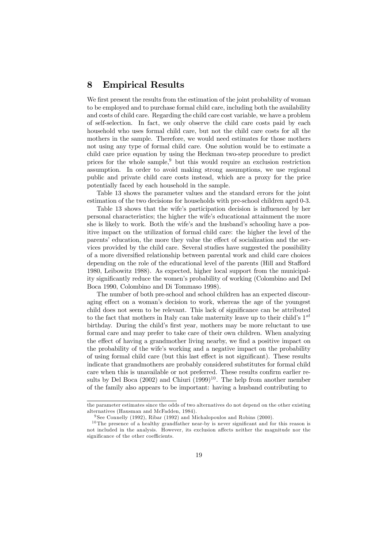#### 8 Empirical Results

We first present the results from the estimation of the joint probability of woman to be employed and to purchase formal child care, including both the availability and costs of child care. Regarding the child care cost variable, we have a problem of self-selection. In fact, we only observe the child care costs paid by each household who uses formal child care, but not the child care costs for all the mothers in the sample. Therefore, we would need estimates for those mothers not using any type of formal child care. One solution would be to estimate a child care price equation by using the Heckman two-step procedure to predict prices for the whole sample, $9$  but this would require an exclusion restriction assumption. In order to avoid making strong assumptions, we use regional public and private child care costs instead, which are a proxy for the price potentially faced by each household in the sample.

Table 13 shows the parameter values and the standard errors for the joint estimation of the two decisions for households with pre-school children aged 0-3.

Table 13 shows that the wife's participation decision is influenced by her personal characteristics; the higher the wife's educational attainment the more she is likely to work. Both the wife's and the husband's schooling have a positive impact on the utilization of formal child care: the higher the level of the parents' education, the more they value the effect of socialization and the services provided by the child care. Several studies have suggested the possibility of a more diversified relationship between parental work and child care choices depending on the role of the educational level of the parents (Hill and Stafford 1980, Leibowitz 1988). As expected, higher local support from the municipality significantly reduce the women's probability of working (Colombino and Del Boca 1990, Colombino and Di Tommaso 1998).

The number of both pre-school and school children has an expected discouraging effect on a woman's decision to work, whereas the age of the youngest child does not seem to be relevant. This lack of significance can be attributed to the fact that mothers in Italy can take maternity leave up to their child's  $1^{st}$ birthday. During the child's first year, mothers may be more reluctant to use formal care and may prefer to take care of their own children. When analyzing the effect of having a grandmother living nearby, we find a positive impact on the probability of the wife's working and a negative impact on the probability of using formal child care (but this last effect is not significant). These results indicate that grandmothers are probably considered substitutes for formal child care when this is unavailable or not preferred. These results confirm earlier results by Del Boca (2002) and Chiuri (1999)<sup>10</sup>. The help from another member of the family also appears to be important: having a husband contributing to

the parameter estimates since the odds of two alternatives do not depend on the other existing alternatives (Hausman and McFadden, 1984).

<sup>&</sup>lt;sup>9</sup> See Connelly (1992), Ribar (1992) and Michalopoulos and Robins (2000).

 $10$ The presence of a healthy grandfather near-by is never significant and for this reason is not included in the analysis. However, its exclusion affects neither the magnitude nor the significance of the other coefficients.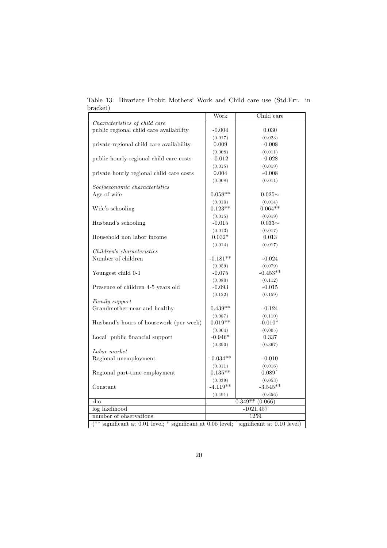|                                                                                                       | Work        | Child care                      |  |
|-------------------------------------------------------------------------------------------------------|-------------|---------------------------------|--|
| Characteristics of child care                                                                         |             |                                 |  |
| public regional child care availability                                                               | $-0.004$    | 0.030                           |  |
|                                                                                                       | (0.017)     | (0.023)                         |  |
| private regional child care availability                                                              | 0.009       | $-0.008$                        |  |
|                                                                                                       | (0.008)     | (0.011)                         |  |
| public hourly regional child care costs                                                               | $-0.012$    | $-0.028$                        |  |
|                                                                                                       | (0.015)     | (0.019)                         |  |
| private hourly regional child care costs                                                              | 0.004       | $-0.008$                        |  |
|                                                                                                       | (0.008)     |                                 |  |
| Socioeconomic characteristics                                                                         |             | (0.011)                         |  |
| Age of wife                                                                                           | $0.058**$   |                                 |  |
|                                                                                                       |             | $0.025\sim$                     |  |
|                                                                                                       | (0.010)     | (0.014)                         |  |
| Wife's schooling                                                                                      | $0.123**$   | $0.064**$                       |  |
|                                                                                                       | (0.015)     | (0.019)                         |  |
| Husband's schooling                                                                                   | $-0.015$    | $0.033\sim$                     |  |
|                                                                                                       | (0.013)     | (0.017)                         |  |
| Household non labor income                                                                            | $0.032*$    | 0.013                           |  |
|                                                                                                       | (0.014)     | (0.017)                         |  |
| Children's characteristics                                                                            |             |                                 |  |
| Number of children                                                                                    | $-0.181**$  | $-0.024$                        |  |
|                                                                                                       | (0.059)     | (0.079)                         |  |
| Youngest child 0-1                                                                                    | $-0.075$    | $-0.453**$                      |  |
|                                                                                                       | (0.080)     | (0.112)                         |  |
| Presence of children 4-5 years old                                                                    | $-0.093$    | $-0.015$                        |  |
|                                                                                                       | (0.122)     | (0.159)                         |  |
| Family support                                                                                        |             |                                 |  |
| Grandmother near and healthy                                                                          | $0.439**$   | $-0.124$                        |  |
|                                                                                                       | (0.087)     | (0.110)                         |  |
| Husband's hours of housework (per week)                                                               | $0.019**$   | $0.010*$                        |  |
|                                                                                                       | (0.004)     | (0.005)                         |  |
| Local public financial support                                                                        | $-0.946*$   | 0.337                           |  |
|                                                                                                       | (0.390)     | (0.367)                         |  |
| Labor market                                                                                          |             |                                 |  |
| Regional unemployment                                                                                 | $-0.034**$  | $-0.010$                        |  |
|                                                                                                       | (0.011)     | (0.016)                         |  |
| Regional part-time employment                                                                         | $0.135**$   | $0.089^{-}$                     |  |
|                                                                                                       | (0.039)     | (0.053)                         |  |
| Constant                                                                                              | $-4.119**$  | $-3.545**$                      |  |
|                                                                                                       | (0.491)     | (0.656)                         |  |
| rho                                                                                                   |             | $\overline{0.349^{**}}$ (0.066) |  |
| log likelihood                                                                                        | $-1021.457$ |                                 |  |
| number of observations                                                                                | 1259        |                                 |  |
| $(**$ significant at 0.01 level; * significant at 0.05 level; $\tilde{\ }$ significant at 0.10 level) |             |                                 |  |
|                                                                                                       |             |                                 |  |

Table 13: Bivariate Probit Mothers' Work and Child care use (Std.Err. in bracket)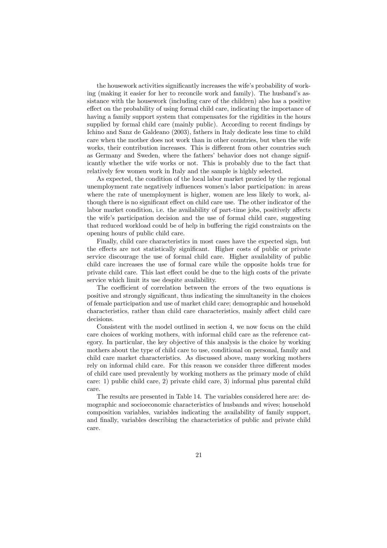the housework activities significantly increases the wife's probability of working (making it easier for her to reconcile work and family). The husband's assistance with the housework (including care of the children) also has a positive effect on the probability of using formal child care, indicating the importance of having a family support system that compensates for the rigidities in the hours supplied by formal child care (mainly public). According to recent findings by Ichino and Sanz de Galdeano (2003), fathers in Italy dedicate less time to child care when the mother does not work than in other countries, but when the wife works, their contribution increases. This is different from other countries such as Germany and Sweden, where the fathers' behavior does not change significantly whether the wife works or not. This is probably due to the fact that relatively few women work in Italy and the sample is highly selected.

As expected, the condition of the local labor market proxied by the regional unemployment rate negatively influences women's labor participation: in areas where the rate of unemployment is higher, women are less likely to work, although there is no significant effect on child care use. The other indicator of the labor market condition, i.e. the availability of part-time jobs, positively affects the wife's participation decision and the use of formal child care, suggesting that reduced workload could be of help in buffering the rigid constraints on the opening hours of public child care.

Finally, child care characteristics in most cases have the expected sign, but the effects are not statistically significant. Higher costs of public or private service discourage the use of formal child care. Higher availability of public child care increases the use of formal care while the opposite holds true for private child care. This last effect could be due to the high costs of the private service which limit its use despite availability.

The coefficient of correlation between the errors of the two equations is positive and strongly significant, thus indicating the simultaneity in the choices of female participation and use of market child care; demographic and household characteristics, rather than child care characteristics, mainly affect child care decisions.

Consistent with the model outlined in section 4, we now focus on the child care choices of working mothers, with informal child care as the reference category. In particular, the key objective of this analysis is the choice by working mothers about the type of child care to use, conditional on personal, family and child care market characteristics. As discussed above, many working mothers rely on informal child care. For this reason we consider three different modes of child care used prevalently by working mothers as the primary mode of child care: 1) public child care, 2) private child care, 3) informal plus parental child care.

The results are presented in Table 14. The variables considered here are: demographic and socioeconomic characteristics of husbands and wives; household composition variables, variables indicating the availability of family support, and finally, variables describing the characteristics of public and private child care.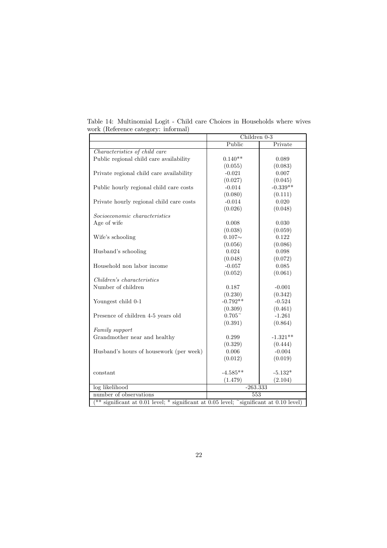|                                                                                                           | Children 0-3         |            |  |
|-----------------------------------------------------------------------------------------------------------|----------------------|------------|--|
|                                                                                                           | Public               | Private    |  |
| Characteristics of child care                                                                             |                      |            |  |
| Public regional child care availability                                                                   | $0.140**$            | 0.089      |  |
|                                                                                                           | (0.055)              | (0.083)    |  |
| Private regional child care availability                                                                  | $-0.021$             | 0.007      |  |
|                                                                                                           | (0.027)              | (0.045)    |  |
| Public hourly regional child care costs                                                                   | $-0.014$             | $-0.339**$ |  |
|                                                                                                           | (0.080)              | (0.111)    |  |
| Private hourly regional child care costs                                                                  | $-0.014$             | 0.020      |  |
|                                                                                                           | (0.026)              | (0.048)    |  |
| Socioeconomic characteristics                                                                             |                      |            |  |
| Age of wife                                                                                               | 0.008                | 0.030      |  |
|                                                                                                           | (0.038)              | (0.059)    |  |
| Wife's schooling                                                                                          | $0.107\sim$          | 0.122      |  |
|                                                                                                           | (0.056)              | (0.086)    |  |
| Husband's schooling                                                                                       | 0.024                | 0.098      |  |
|                                                                                                           | (0.048)              | (0.072)    |  |
| Household non labor income                                                                                | $-0.057$             | 0.085      |  |
|                                                                                                           | (0.052)              | (0.061)    |  |
| Children's characteristics                                                                                |                      |            |  |
| Number of children                                                                                        | 0.187                | $-0.001$   |  |
|                                                                                                           | (0.230)              | (0.342)    |  |
| Youngest child 0-1                                                                                        | $-0.792**$           | $-0.524$   |  |
|                                                                                                           | (0.309)              | (0.461)    |  |
| Presence of children 4-5 years old                                                                        | $0.705$ <sup>~</sup> | $-1.261$   |  |
|                                                                                                           | (0.391)              | (0.864)    |  |
| Family support                                                                                            |                      |            |  |
| Grandmother near and healthy                                                                              | 0.299                | $-1.321**$ |  |
|                                                                                                           | (0.329)              | (0.444)    |  |
| Husband's hours of housework (per week)                                                                   | 0.006                | $-0.004$   |  |
|                                                                                                           | (0.012)              | (0.019)    |  |
|                                                                                                           |                      |            |  |
| constant                                                                                                  | $-4.585**$           | $-5.132*$  |  |
|                                                                                                           | (1.479)              | (2.104)    |  |
| log likelihood                                                                                            | $-263.333$           |            |  |
| number of observations                                                                                    | 553                  |            |  |
| $(*\ast$ significant at 0.01 level; $*\ast$ significant at 0.05 level; $*\ast$ significant at 0.10 level) |                      |            |  |

Table 14: Multinomial Logit - Child care Choices in Households where wives work (Reference category: informal)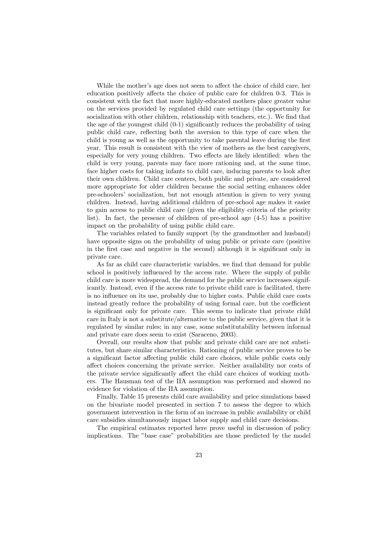While the mother's age does not seem to affect the choice of child care, her education positively affects the choice of public care for children 0-3. This is consistent with the fact that more highly-educated mothers place greater value on the services provided by regulated child care settings (the opportunity for socialization with other children, relationship with teachers, etc.). We find that the age of the youngest child (0-1) significantly reduces the probability of using public child care, reflecting both the aversion to this type of care when the child is young as well as the opportunity to take parental leave during the first year. This result is consistent with the view of mothers as the best caregivers, especially for very young children. Two effects are likely identified: when the child is very young, parents may face more rationing and, at the same time, face higher costs for taking infants to child care, inducing parents to look after their own children. Child care centers, both public and private, are considered more appropriate for older children because the social setting enhances older pre-schoolers' socialization, but not enough attention is given to very young children. Instead, having additional children of pre-school age makes it easier to gain access to public child care (given the eligibility criteria of the priority list). In fact, the presence of children of pre-school age (4-5) has a positive impact on the probability of using public child care.

The variables related to family support (by the grandmother and husband) have opposite signs on the probability of using public or private care (positive in the first case and negative in the second) although it is significant only in private care.

As far as child care characteristic variables, we find that demand for public school is positively influenced by the access rate. Where the supply of public child care is more widespread, the demand for the public service increases significantly. Instead, even if the access rate to private child care is facilitated, there is no influence on its use, probably due to higher costs. Public child care costs instead greatly reduce the probability of using formal care, but the coefficient is significant only for private care. This seems to indicate that private child care in Italy is not a substitute/alternative to the public service, given that it is regulated by similar rules; in any case, some substitutability between informal and private care does seem to exist (Saraceno, 2003).

Overall, our results show that public and private child care are not substitutes, but share similar characteristics. Rationing of public service proves to be a significant factor affecting public child care choices, while public costs only affect choices concerning the private service. Neither availability nor costs of the private service significantly affect the child care choices of working mothers. The Hausman test of the IIA assumption was performed and showed no evidence for violation of the IIA assumption.

Finally, Table 15 presents child care availability and price simulations based on the bivariate model presented in section 7 to assess the degree to which government intervention in the form of an increase in public availability or child care subsidies simultaneously impact labor supply and child care decisions.

The empirical estimates reported here prove useful in discussion of policy implications. The "base case" probabilities are those predicted by the model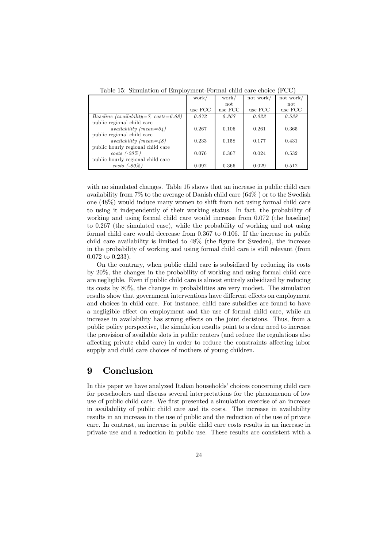|                                       | work/   | work    | not work/ | not work/ |
|---------------------------------------|---------|---------|-----------|-----------|
|                                       |         | not     |           | not       |
|                                       | use FCC | use FCC | use FCC   | use FCC   |
| Baseline (availability=7, costs=6.68) | 0.072   | 0.367   | 0.023     | 0.538     |
| public regional child care            |         |         |           |           |
| availability $(mean=64)$              | 0.267   | 0.106   | 0.261     | 0.365     |
| public regional child care            |         |         |           |           |
| availability (mean= $48$ )            | 0.233   | 0.158   | 0.177     | 0.431     |
| public hourly regional child care     |         |         |           |           |
| $costs$ (-20%)                        | 0.076   | 0.367   | 0.024     | 0.532     |
| public hourly regional child care     |         |         |           |           |
| $costs$ (-80%)                        | 0.092   | 0.366   | 0.029     | 0.512     |

Table 15: Simulation of Employment-Formal child care choice (FCC)

with no simulated changes. Table 15 shows that an increase in public child care availability from 7% to the average of Danish child care (64% ) or to the Swedish one (48%) would induce many women to shift from not using formal child care to using it independently of their working status. In fact, the probability of working and using formal child care would increase from 0.072 (the baseline) to 0.267 (the simulated case), while the probability of working and not using formal child care would decrease from 0.367 to 0.106. If the increase in public child care availability is limited to 48% (the figure for Sweden), the increase in the probability of working and using formal child care is still relevant (from 0.072 to 0.233).

On the contrary, when public child care is subsidized by reducing its costs by 20%, the changes in the probability of working and using formal child care are negligible. Even if public child care is almost entirely subsidized by reducing its costs by 80%, the changes in probabilities are very modest. The simulation results show that government interventions have different effects on employment and choices in child care. For instance, child care subsidies are found to have a negligible effect on employment and the use of formal child care, while an increase in availability has strong effects on the joint decisions. Thus, from a public policy perspective, the simulation results point to a clear need to increase the provision of available slots in public centers (and reduce the regulations also affecting private child care) in order to reduce the constraints affecting labor supply and child care choices of mothers of young children.

#### 9 Conclusion

In this paper we have analyzed Italian households' choices concerning child care for preschoolers and discuss several interpretations for the phenomenon of low use of public child care. We first presented a simulation exercise of an increase in availability of public child care and its costs. The increase in availability results in an increase in the use of public and the reduction of the use of private care. In contrast, an increase in public child care costs results in an increase in private use and a reduction in public use. These results are consistent with a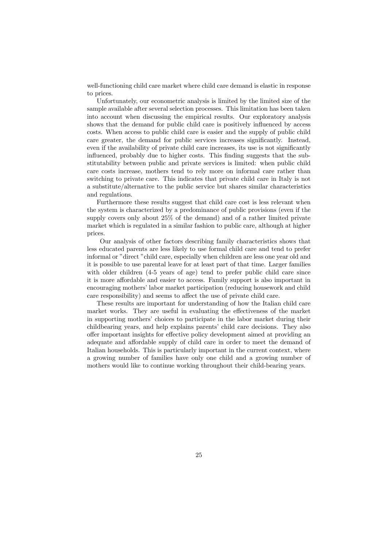well-functioning child care market where child care demand is elastic in response to prices.

Unfortunately, our econometric analysis is limited by the limited size of the sample available after several selection processes. This limitation has been taken into account when discussing the empirical results. Our exploratory analysis shows that the demand for public child care is positively influenced by access costs. When access to public child care is easier and the supply of public child care greater, the demand for public services increases significantly. Instead, even if the availability of private child care increases, its use is not significantly influenced, probably due to higher costs. This finding suggests that the substitutability between public and private services is limited: when public child care costs increase, mothers tend to rely more on informal care rather than switching to private care. This indicates that private child care in Italy is not a substitute/alternative to the public service but shares similar characteristics and regulations.

Furthermore these results suggest that child care cost is less relevant when the system is characterized by a predominance of public provisions (even if the supply covers only about 25% of the demand) and of a rather limited private market which is regulated in a similar fashion to public care, although at higher prices.

Our analysis of other factors describing family characteristics shows that less educated parents are less likely to use formal child care and tend to prefer informal or "direct "child care, especially when children are less one year old and it is possible to use parental leave for at least part of that time. Larger families with older children (4-5 years of age) tend to prefer public child care since it is more affordable and easier to access. Family support is also important in encouraging mothers' labor market participation (reducing housework and child care responsibility) and seems to affect the use of private child care.

These results are important for understanding of how the Italian child care market works. They are useful in evaluating the effectiveness of the market in supporting mothers' choices to participate in the labor market during their childbearing years, and help explains parents' child care decisions. They also offer important insights for effective policy development aimed at providing an adequate and affordable supply of child care in order to meet the demand of Italian households. This is particularly important in the current context, where a growing number of families have only one child and a growing number of mothers would like to continue working throughout their child-bearing years.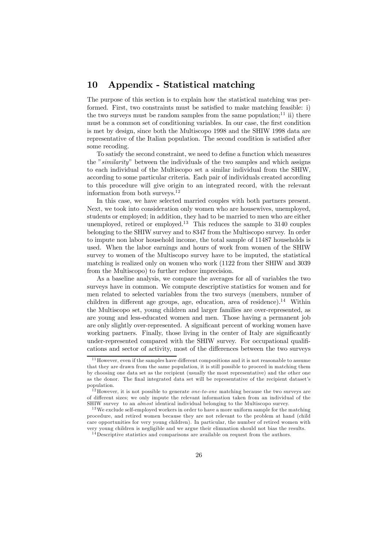#### 10 Appendix - Statistical matching

The purpose of this section is to explain how the statistical matching was performed. First, two constraints must be satisfied to make matching feasible: i) the two surveys must be random samples from the same population;<sup>11</sup> ii) there must be a common set of conditioning variables. In our case, the first condition is met by design, since both the Multiscopo 1998 and the SHIW 1998 data are representative of the Italian population. The second condition is satisfied after some recoding.

To satisfy the second constraint, we need to define a function which measures the "similarity" between the individuals of the two samples and which assigns to each individual of the Multiscopo set a similar individual from the SHIW, according to some particular criteria. Each pair of individuals created according to this procedure will give origin to an integrated record, with the relevant information from both surveys.<sup>12</sup>

In this case, we have selected married couples with both partners present. Next, we took into consideration only women who are housewives, unemployed, students or employed; in addition, they had to be married to men who are either unemployed, retired or employed.<sup>13</sup> This reduces the sample to  $3140$  couples belonging to the SHIW survey and to 8347 from the Multiscopo survey. In order to impute non labor household income, the total sample of 11487 households is used. When the labor earnings and hours of work from women of the SHIW survey to women of the Multiscopo survey have to be imputed, the statistical matching is realized only on women who work (1122 from ther SHIW and 3039 from the Multiscopo) to further reduce imprecision.

As a baseline analysis, we compare the averages for all of variables the two surveys have in common. We compute descriptive statistics for women and for men related to selected variables from the two surveys (members, number of children in different age groups, age, education, area of residence).<sup>14</sup> Within the Multiscopo set, young children and larger families are over-represented, as are young and less-educated women and men. Those having a permanent job are only slightly over-represented. A significant percent of working women have working partners. Finally, those living in the center of Italy are significantly under-represented compared with the SHIW survey. For occupational qualifications and sector of activity, most of the differences between the two surveys

 $11$  However, even if the samples have different compositions and it is not reasonable to assume that they are drawn from the same population, it is still possible to proceed in matching them by choosing one data set as the recipient (usually the most representative) and the other one as the donor. The final integrated data set will be representative of the recipient dataset's population.

 $12$  However, it is not possible to generate *one-to-one* matching because the two surveys are of different sizes; we only impute the relevant information taken from an individual of the SHIW survey to an almost identical individual belonging to the Multiscopo survey.

<sup>&</sup>lt;sup>13</sup> We exclude self-employed workers in order to have a more uniform sample for the matching procedure, and retired women because they are not relevant to the problem at hand (child care opportunities for very young children). In particular, the number of retired women with very young children is negligible and we argue their elimnation should not bias the results.

<sup>&</sup>lt;sup>14</sup>Descriptive statistics and comparisons are available on request from the authors.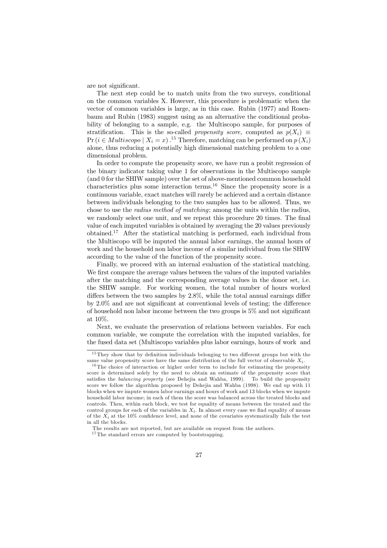are not significant.

The next step could be to match units from the two surveys, conditional on the common variables X. However, this procedure is problematic when the vector of common variables is large, as in this case. Rubin (1977) and Rosenbaum and Rubin (1983) suggest using as an alternative the conditional probability of belonging to a sample, e.g. the Multiscopo sample, for purposes of stratification. This is the so-called *propensity score*, computed as  $p(X_i) \equiv$ Pr ( $i \in Multiscoop \mid X_i=x$ ).<sup>15</sup> Therefore, matching can be performed on  $p(X_i)$ alone, thus reducing a potentially high dimensional matching problem to a one dimensional problem.

In order to compute the propensity score, we have run a probit regression of the binary indicator taking value 1 for observations in the Multiscopo sample (and 0 for the SHIW sample) over the set of above-mentioned common household characteristics plus some interaction terms.<sup>16</sup> Since the propensity score is a continuous variable, exact matches will rarely be achieved and a certain distance between individuals belonging to the two samples has to be allowed. Thus, we chose to use the radius method of matching; among the units within the radius, we randomly select one unit, and we repeat this procedure 20 times. The final value of each imputed variables is obtained by averaging the 20 values previously obtained.17 After the statistical matching is performed, each individual from the Multiscopo will be imputed the annual labor earnings, the annual hours of work and the household non labor income of a similar individual from the SHIW according to the value of the function of the propensity score.

Finally, we proceed with an internal evaluation of the statistical matching. We first compare the average values between the values of the imputed variables after the matching and the corresponding average values in the donor set, i.e. the SHIW sample. For working women, the total number of hours worked differs between the two samples by 2.8%, while the total annual earnings differ by 2.0% and are not significant at conventional levels of testing; the difference of household non labor income between the two groups is 5% and not significant at 10%.

Next, we evaluate the preservation of relations between variables. For each common variable, we compute the correlation with the imputed variables, for the fused data set (Multiscopo variables plus labor earnings, hours of work and

<sup>&</sup>lt;sup>15</sup> They show that by definition individuals belonging to two different groups but with the same value propensity score have the same distribution of the full vector of observable  $X_i$ .

 $16$  The choice of interaction or higher order term to include for estimating the propensity score is determined solely by the need to obtain an estimate of the propensity score that satisfies the *balancing property* (see Dehejia and Wahba, 1999). To build the propensity score we follow the algorithm proposed by Dehejia and Wahba (1998). We end up with 11 blocks when we impute women labor earnings and hours of work and 13 blocks when we impute household labor income; in each of them the score was balanced across the treated blocks and controls. Then, within each block, we test for equality of means between the treated and the control groups for each of the variables in  $X_i$ . In almost every case we find equality of means of the  $X_i$  at the 10% confidence level, and none of the covariates systematically fails the test in all the blocks.

The results are not reported, but are available on request from the authors.

 $17$  The standard errors are computed by bootstrapping.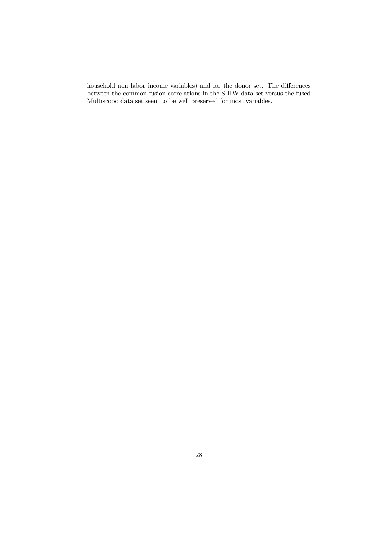household non labor income variables) and for the donor set. The differences between the common-fusion correlations in the SHIW data set versus the fused Multiscopo data set seem to be well preserved for most variables.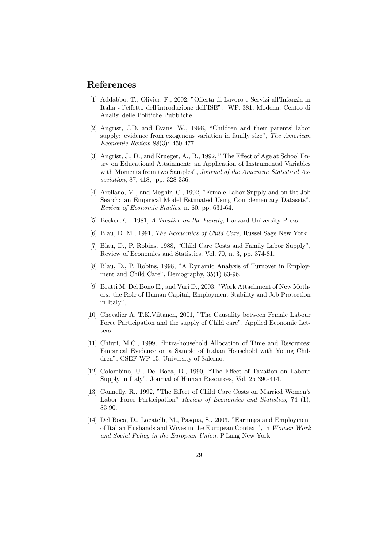#### References

- [1] Addabbo, T., Olivier, F., 2002, "Offerta di Lavoro e Servizi all'Infanzia in Italia - l'effetto dell'introduzione dell'ISE", WP. 381, Modena, Centro di Analisi delle Politiche Pubbliche.
- [2] Angrist, J.D. and Evans, W., 1998, "Children and their parents' labor supply: evidence from exogenous variation in family size", The American Economic Review 88(3): 450-477.
- [3] Angrist, J., D., and Krueger, A., B., 1992, " The Effect of Age at School Entry on Educational Attainment: an Application of Instrumental Variables with Moments from two Samples", Journal of the American Statistical Association, 87, 418, pp. 328-336.
- [4] Arellano, M., and Meghir, C., 1992, "Female Labor Supply and on the Job Search: an Empirical Model Estimated Using Complementary Datasets", Review of Economic Studies, n. 60, pp. 631-64.
- [5] Becker, G., 1981, A Treatise on the Family, Harvard University Press.
- [6] Blau, D. M., 1991, The Economics of Child Care, Russel Sage New York.
- [7] Blau, D., P. Robins, 1988, "Child Care Costs and Family Labor Supply", Review of Economics and Statistics, Vol. 70, n. 3, pp. 374-81.
- [8] Blau, D., P. Robins, 1998, "A Dynamic Analysis of Turnover in Employment and Child Care", Demography, 35(1) 83-96.
- [9] Bratti M, Del Bono E., and Vuri D., 2003, "Work Attachment of New Mothers: the Role of Human Capital, Employment Stability and Job Protection in Italy",
- [10] Chevalier A. T.K.Viitanen, 2001, "The Causality between Female Labour Force Participation and the supply of Child care", Applied Economic Letters.
- [11] Chiuri, M.C., 1999, "Intra-household Allocation of Time and Resources: Empirical Evidence on a Sample of Italian Household with Young Children", CSEF WP 15, University of Salerno.
- [12] Colombino, U., Del Boca, D., 1990, "The Effect of Taxation on Labour Supply in Italy", Journal of Human Resources, Vol. 25 390-414.
- [13] Connelly, R., 1992, "The Effect of Child Care Costs on Married Women's Labor Force Participation" Review of Economics and Statistics, 74 (1), 83-90.
- [14] Del Boca, D., Locatelli, M., Pasqua, S., 2003, "Earnings and Employment of Italian Husbands and Wives in the European Context", in Women Work and Social Policy in the European Union. P.Lang New York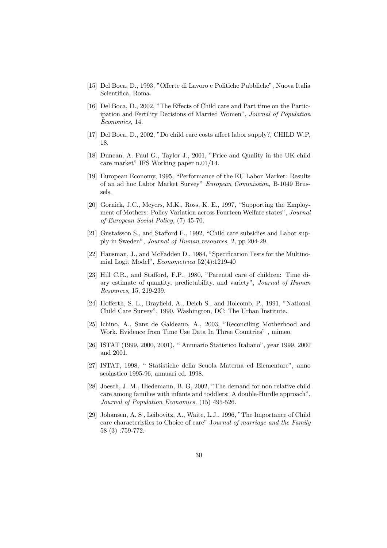- [15] Del Boca, D., 1993, "Offerte di Lavoro e Politiche Pubbliche", Nuova Italia Scientifica, Roma.
- [16] Del Boca, D., 2002, "The Effects of Child care and Part time on the Participation and Fertility Decisions of Married Women", Journal of Population Economics, 14.
- [17] Del Boca, D., 2002, "Do child care costs affect labor supply?, CHILD W.P, 18.
- [18] Duncan, A. Paul G., Taylor J., 2001, "Price and Quality in the UK child care market" IFS Working paper n.01/14.
- [19] European Economy, 1995, "Performance of the EU Labor Market: Results of an ad hoc Labor Market Survey" European Commission, B-1049 Brussels.
- [20] Gornick, J.C., Meyers, M.K., Ross, K. E., 1997, "Supporting the Employment of Mothers: Policy Variation across Fourteen Welfare states", Journal of European Social Policy, (7) 45-70.
- [21] Gustafsson S., and Stafford F., 1992, "Child care subsidies and Labor supply in Sweden", Journal of Human resources, 2, pp 204-29.
- [22] Hausman, J., and McFadden D., 1984, "Specification Tests for the Multinomial Logit Model", Econometrica 52(4):1219-40
- [23] Hill C.R., and Stafford, F.P., 1980, "Parental care of children: Time diary estimate of quantity, predictability, and variety", Journal of Human Resources, 15, 219-239.
- [24] Hofferth, S. L., Brayfield, A., Deich S., and Holcomb, P., 1991, "National Child Care Survey", 1990. Washington, DC: The Urban Institute.
- [25] Ichino, A., Sanz de Galdeano, A., 2003, "Reconciling Motherhood and Work. Evidence from Time Use Data In Three Countries" , mimeo.
- [26] ISTAT (1999, 2000, 2001), " Annuario Statistico Italiano", year 1999, 2000 and 2001.
- [27] ISTAT, 1998, " Statistiche della Scuola Materna ed Elementare", anno scolastico 1995-96, annuari ed. 1998.
- [28] Joesch, J. M., Hiedemann, B. G, 2002, "The demand for non relative child care among families with infants and toddlers: A double-Hurdle approach", Journal of Population Economics, (15) 495-526.
- [29] Johansen, A. S , Leibovitz, A., Waite, L.J., 1996, "The Importance of Child care characteristics to Choice of care" Journal of marriage and the Family 58 (3) :759-772.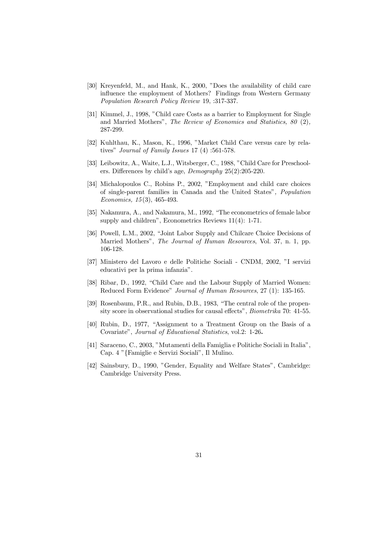- [30] Kreyenfeld, M., and Hank, K., 2000, "Does the availability of child care influence the employment of Mothers? Findings from Western Germany Population Research Policy Review 19, :317-337.
- [31] Kimmel, J., 1998, "Child care Costs as a barrier to Employment for Single and Married Mothers", The Review of Economics and Statistics, 80 (2), 287-299.
- [32] Kuhlthau, K., Mason, K., 1996, "Market Child Care versus care by relatives" Journal of Family Issues 17 (4) :561-578.
- [33] Leibowitz, A., Waite, L.J., Witsberger, C., 1988, "Child Care for Preschoolers. Differences by child's age, Demography 25(2):205-220.
- [34] Michalopoulos C., Robins P., 2002, "Employment and child care choices of single-parent families in Canada and the United States", Population Economics, 15 (3), 465-493.
- [35] Nakamura, A., and Nakamura, M., 1992, "The econometrics of female labor supply and children", Econometrics Reviews 11(4): 1-71.
- [36] Powell, L.M., 2002, "Joint Labor Supply and Chilcare Choice Decisions of Married Mothers", The Journal of Human Resources, Vol. 37, n. 1, pp. 106-128.
- [37] Ministero del Lavoro e delle Politiche Sociali CNDM, 2002, "I servizi educativi per la prima infanzia".
- [38] Ribar, D., 1992, "Child Care and the Labour Supply of Married Women: Reduced Form Evidence" Journal of Human Resources, 27 (1): 135-165.
- [39] Rosenbaum, P.R., and Rubin, D.B., 1983, "The central role of the propensity score in observational studies for causal effects", Biometrika 70: 41-55.
- [40] Rubin, D., 1977, "Assignment to a Treatment Group on the Basis of a Covariate", Journal of Educational Statistics, vol.2: 1-26.
- [41] Saraceno, C., 2003, "Mutamenti della Famiglia e Politiche Sociali in Italia", Cap. 4 "{Famiglie e Servizi Sociali", Il Mulino.
- [42] Sainsbury, D., 1990, "Gender, Equality and Welfare States", Cambridge: Cambridge University Press.